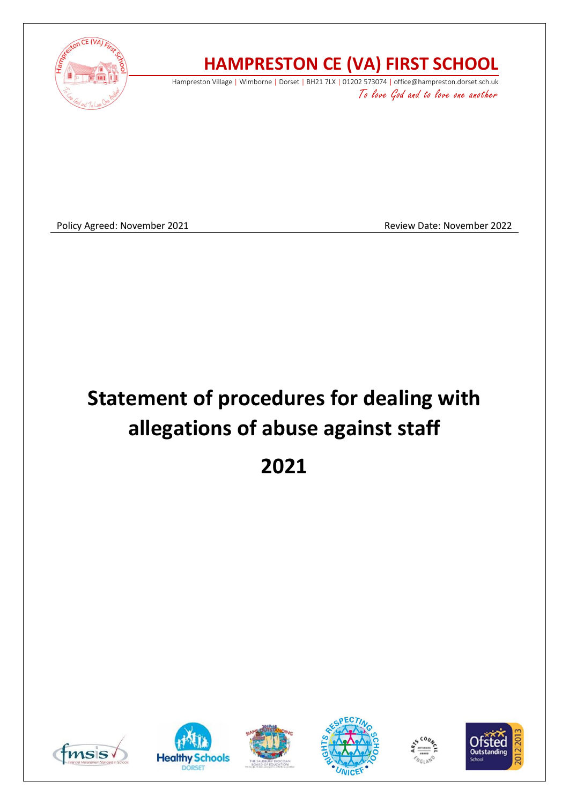

## **HAMPRESTON CE (VA) FIRST SCHOOL**

Hampreston Village | Wimborne | Dorset | BH21 7LX | 01202 573074 | office@hampreston.dorset.sch.uk To love God and to love one another

Policy Agreed: November 2021 **Review Date: November 2022** Review Date: November 2022

# **Statement of procedures for dealing with allegations of abuse against staff**

**2021**











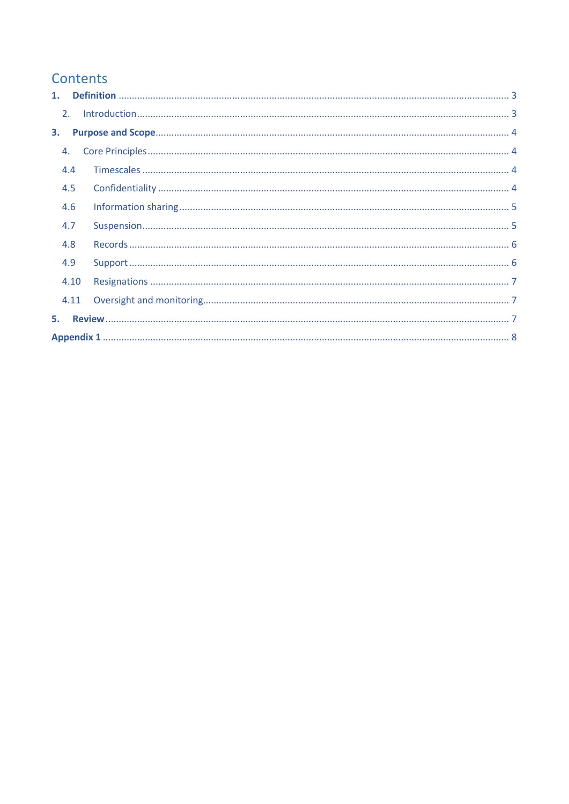### Contents

| 2. |      |  |  |  |  |  |
|----|------|--|--|--|--|--|
| 3. |      |  |  |  |  |  |
| 4. |      |  |  |  |  |  |
|    | 4.4  |  |  |  |  |  |
|    | 4.5  |  |  |  |  |  |
|    | 4.6  |  |  |  |  |  |
|    | 4.7  |  |  |  |  |  |
|    | 4.8  |  |  |  |  |  |
|    | 4.9  |  |  |  |  |  |
|    | 4.10 |  |  |  |  |  |
|    | 4.11 |  |  |  |  |  |
| 5. |      |  |  |  |  |  |
|    |      |  |  |  |  |  |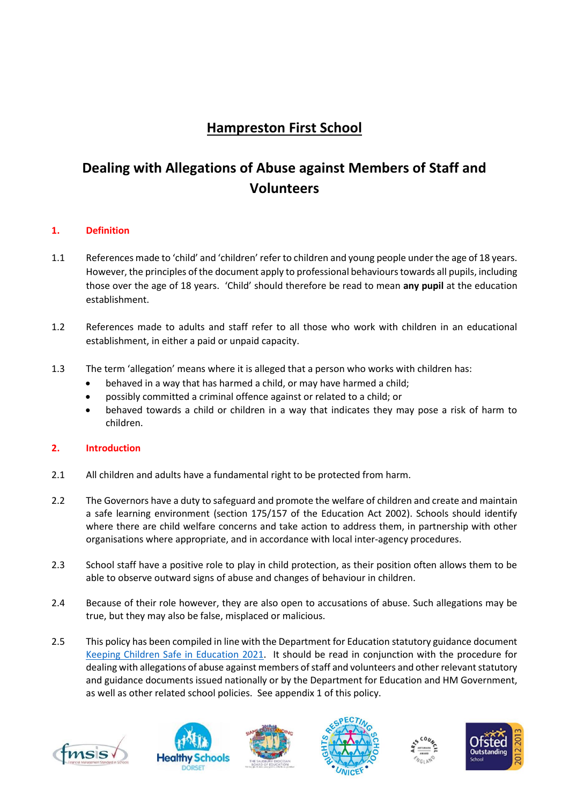## **Hampreston First School**

## **Dealing with Allegations of Abuse against Members of Staff and Volunteers**

#### <span id="page-2-0"></span>**1. Definition**

- 1.1 References made to 'child' and 'children' refer to children and young people under the age of 18 years. However, the principles of the document apply to professional behaviours towards all pupils, including those over the age of 18 years. 'Child' should therefore be read to mean **any pupil** at the education establishment.
- 1.2 References made to adults and staff refer to all those who work with children in an educational establishment, in either a paid or unpaid capacity.
- 1.3 The term 'allegation' means where it is alleged that a person who works with children has:
	- behaved in a way that has harmed a child, or may have harmed a child;
	- possibly committed a criminal offence against or related to a child; or
	- behaved towards a child or children in a way that indicates they may pose a risk of harm to children.

#### <span id="page-2-1"></span>**2. Introduction**

- 2.1 All children and adults have a fundamental right to be protected from harm.
- 2.2 The Governors have a duty to safeguard and promote the welfare of children and create and maintain a safe learning environment (section 175/157 of the Education Act 2002). Schools should identify where there are child welfare concerns and take action to address them, in partnership with other organisations where appropriate, and in accordance with local inter-agency procedures.
- 2.3 School staff have a positive role to play in child protection, as their position often allows them to be able to observe outward signs of abuse and changes of behaviour in children.
- 2.4 Because of their role however, they are also open to accusations of abuse. Such allegations may be true, but they may also be false, misplaced or malicious.
- 2.5 This policy has been compiled in line with the Department for Education statutory guidance document [Keeping Children Safe in Education](https://assets.publishing.service.gov.uk/government/uploads/system/uploads/attachment_data/file/1020050/KCSIE_2021_September_guidance.pdf) 2021. It should be read in conjunction with the procedure for dealing with allegations of abuse against members of staff and volunteers and other relevant statutory and guidance documents issued nationally or by the Department for Education and HM Government, as well as other related school policies. See appendix 1 of this policy.











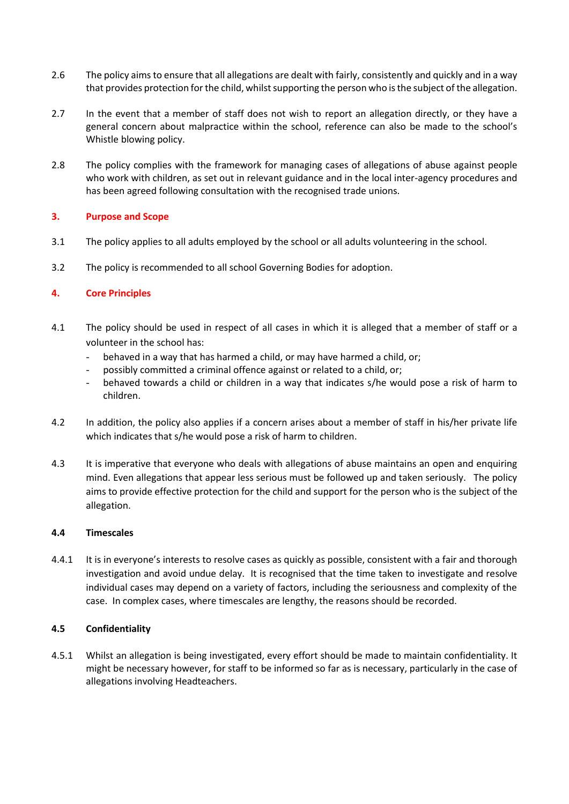- 2.6 The policy aims to ensure that all allegations are dealt with fairly, consistently and quickly and in a way that provides protection for the child, whilst supporting the person who is the subject of the allegation.
- 2.7 In the event that a member of staff does not wish to report an allegation directly, or they have a general concern about malpractice within the school, reference can also be made to the school's Whistle blowing policy.
- 2.8 The policy complies with the framework for managing cases of allegations of abuse against people who work with children, as set out in relevant guidance and in the local inter-agency procedures and has been agreed following consultation with the recognised trade unions.

#### <span id="page-3-0"></span>**3. Purpose and Scope**

- 3.1 The policy applies to all adults employed by the school or all adults volunteering in the school.
- 3.2 The policy is recommended to all school Governing Bodies for adoption.

#### <span id="page-3-1"></span>**4. Core Principles**

- 4.1 The policy should be used in respect of all cases in which it is alleged that a member of staff or a volunteer in the school has:
	- behaved in a way that has harmed a child, or may have harmed a child, or;
	- possibly committed a criminal offence against or related to a child, or;
	- behaved towards a child or children in a way that indicates s/he would pose a risk of harm to children.
- 4.2 In addition, the policy also applies if a concern arises about a member of staff in his/her private life which indicates that s/he would pose a risk of harm to children.
- 4.3 It is imperative that everyone who deals with allegations of abuse maintains an open and enquiring mind. Even allegations that appear less serious must be followed up and taken seriously. The policy aims to provide effective protection for the child and support for the person who is the subject of the allegation.

#### <span id="page-3-2"></span>**4.4 Timescales**

4.4.1 It is in everyone's interests to resolve cases as quickly as possible, consistent with a fair and thorough investigation and avoid undue delay. It is recognised that the time taken to investigate and resolve individual cases may depend on a variety of factors, including the seriousness and complexity of the case. In complex cases, where timescales are lengthy, the reasons should be recorded.

#### <span id="page-3-3"></span>**4.5 Confidentiality**

4.5.1 Whilst an allegation is being investigated, every effort should be made to maintain confidentiality. It might be necessary however, for staff to be informed so far as is necessary, particularly in the case of allegations involving Headteachers.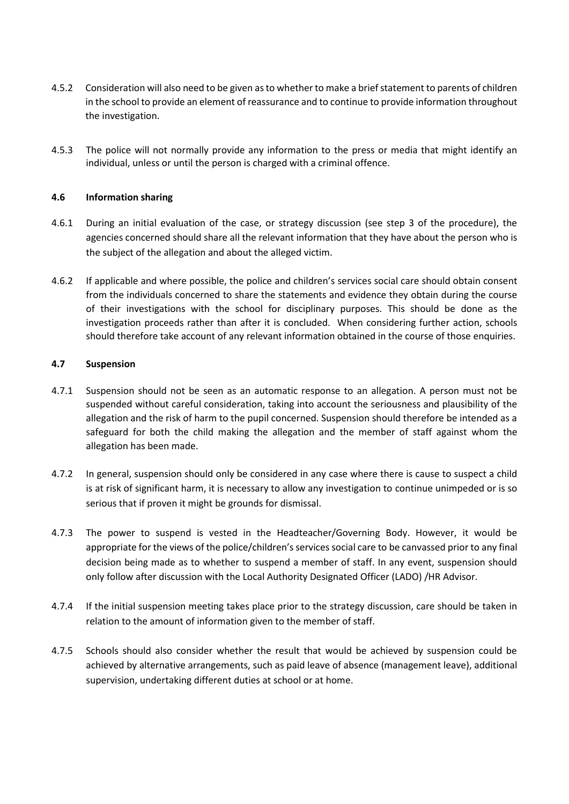- 4.5.2 Consideration will also need to be given as to whether to make a brief statement to parents of children in the school to provide an element of reassurance and to continue to provide information throughout the investigation.
- 4.5.3 The police will not normally provide any information to the press or media that might identify an individual, unless or until the person is charged with a criminal offence.

#### <span id="page-4-0"></span>**4.6 Information sharing**

- 4.6.1 During an initial evaluation of the case, or strategy discussion (see step 3 of the procedure), the agencies concerned should share all the relevant information that they have about the person who is the subject of the allegation and about the alleged victim.
- 4.6.2 If applicable and where possible, the police and children's services social care should obtain consent from the individuals concerned to share the statements and evidence they obtain during the course of their investigations with the school for disciplinary purposes. This should be done as the investigation proceeds rather than after it is concluded. When considering further action, schools should therefore take account of any relevant information obtained in the course of those enquiries.

#### <span id="page-4-1"></span>**4.7 Suspension**

- 4.7.1 Suspension should not be seen as an automatic response to an allegation. A person must not be suspended without careful consideration, taking into account the seriousness and plausibility of the allegation and the risk of harm to the pupil concerned. Suspension should therefore be intended as a safeguard for both the child making the allegation and the member of staff against whom the allegation has been made.
- 4.7.2 In general, suspension should only be considered in any case where there is cause to suspect a child is at risk of significant harm, it is necessary to allow any investigation to continue unimpeded or is so serious that if proven it might be grounds for dismissal.
- 4.7.3 The power to suspend is vested in the Headteacher/Governing Body. However, it would be appropriate for the views of the police/children's services social care to be canvassed prior to any final decision being made as to whether to suspend a member of staff. In any event, suspension should only follow after discussion with the Local Authority Designated Officer (LADO) /HR Advisor.
- 4.7.4 If the initial suspension meeting takes place prior to the strategy discussion, care should be taken in relation to the amount of information given to the member of staff.
- 4.7.5 Schools should also consider whether the result that would be achieved by suspension could be achieved by alternative arrangements, such as paid leave of absence (management leave), additional supervision, undertaking different duties at school or at home.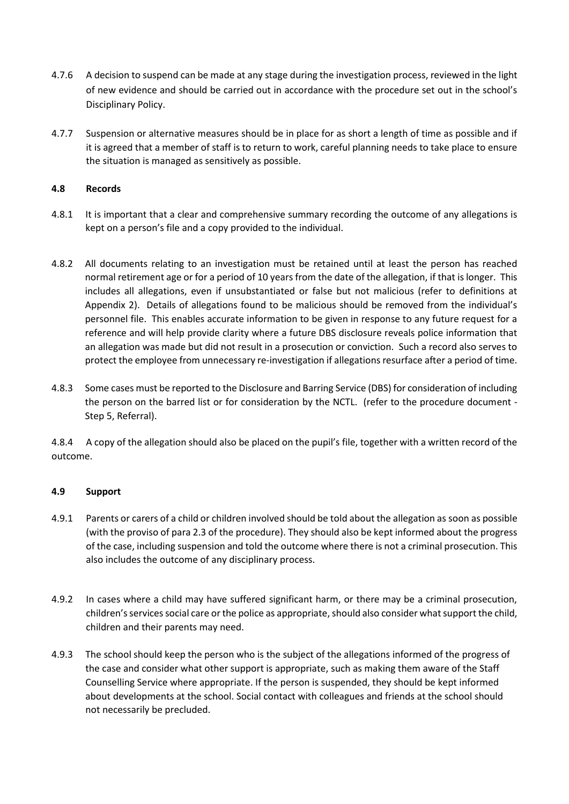- 4.7.6 A decision to suspend can be made at any stage during the investigation process, reviewed in the light of new evidence and should be carried out in accordance with the procedure set out in the school's Disciplinary Policy.
- 4.7.7 Suspension or alternative measures should be in place for as short a length of time as possible and if it is agreed that a member of staff is to return to work, careful planning needs to take place to ensure the situation is managed as sensitively as possible.

#### <span id="page-5-0"></span>**4.8 Records**

- 4.8.1 It is important that a clear and comprehensive summary recording the outcome of any allegations is kept on a person's file and a copy provided to the individual.
- 4.8.2 All documents relating to an investigation must be retained until at least the person has reached normal retirement age or for a period of 10 years from the date of the allegation, if that is longer. This includes all allegations, even if unsubstantiated or false but not malicious (refer to definitions at Appendix 2). Details of allegations found to be malicious should be removed from the individual's personnel file. This enables accurate information to be given in response to any future request for a reference and will help provide clarity where a future DBS disclosure reveals police information that an allegation was made but did not result in a prosecution or conviction. Such a record also serves to protect the employee from unnecessary re-investigation if allegations resurface after a period of time.
- 4.8.3 Some cases must be reported to the Disclosure and Barring Service (DBS) for consideration of including the person on the barred list or for consideration by the NCTL. (refer to the procedure document - Step 5, Referral).

4.8.4 A copy of the allegation should also be placed on the pupil's file, together with a written record of the outcome.

#### <span id="page-5-1"></span>**4.9 Support**

- 4.9.1 Parents or carers of a child or children involved should be told about the allegation as soon as possible (with the proviso of para 2.3 of the procedure). They should also be kept informed about the progress of the case, including suspension and told the outcome where there is not a criminal prosecution. This also includes the outcome of any disciplinary process.
- 4.9.2 In cases where a child may have suffered significant harm, or there may be a criminal prosecution, children's services social care or the police as appropriate, should also consider what support the child, children and their parents may need.
- 4.9.3 The school should keep the person who is the subject of the allegations informed of the progress of the case and consider what other support is appropriate, such as making them aware of the Staff Counselling Service where appropriate. If the person is suspended, they should be kept informed about developments at the school. Social contact with colleagues and friends at the school should not necessarily be precluded.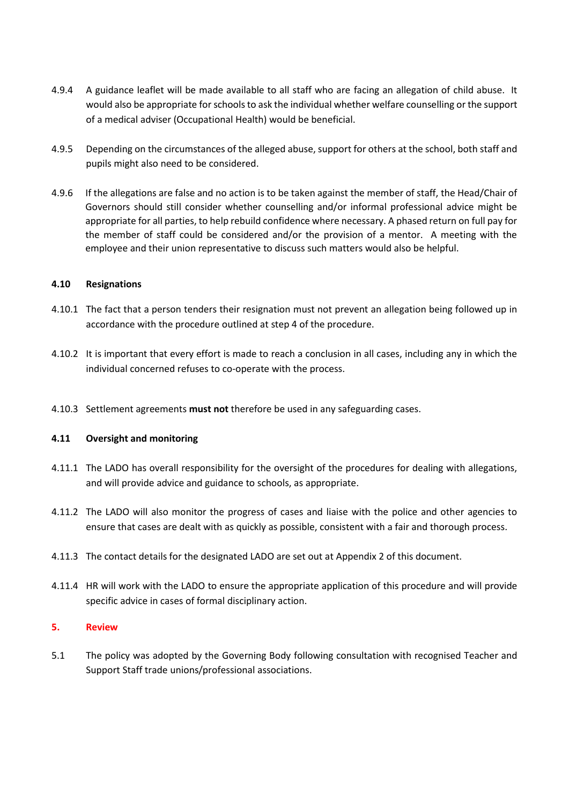- 4.9.4 A guidance leaflet will be made available to all staff who are facing an allegation of child abuse. It would also be appropriate for schools to ask the individual whether welfare counselling or the support of a medical adviser (Occupational Health) would be beneficial.
- 4.9.5 Depending on the circumstances of the alleged abuse, support for others at the school, both staff and pupils might also need to be considered.
- 4.9.6 If the allegations are false and no action is to be taken against the member of staff, the Head/Chair of Governors should still consider whether counselling and/or informal professional advice might be appropriate for all parties, to help rebuild confidence where necessary. A phased return on full pay for the member of staff could be considered and/or the provision of a mentor. A meeting with the employee and their union representative to discuss such matters would also be helpful.

#### <span id="page-6-0"></span>**4.10 Resignations**

- 4.10.1 The fact that a person tenders their resignation must not prevent an allegation being followed up in accordance with the procedure outlined at step 4 of the procedure.
- 4.10.2 It is important that every effort is made to reach a conclusion in all cases, including any in which the individual concerned refuses to co-operate with the process.
- 4.10.3 Settlement agreements **must not** therefore be used in any safeguarding cases.

#### <span id="page-6-1"></span>**4.11 Oversight and monitoring**

- 4.11.1 The LADO has overall responsibility for the oversight of the procedures for dealing with allegations, and will provide advice and guidance to schools, as appropriate.
- 4.11.2 The LADO will also monitor the progress of cases and liaise with the police and other agencies to ensure that cases are dealt with as quickly as possible, consistent with a fair and thorough process.
- 4.11.3 The contact details for the designated LADO are set out at Appendix 2 of this document.
- 4.11.4 HR will work with the LADO to ensure the appropriate application of this procedure and will provide specific advice in cases of formal disciplinary action.

#### <span id="page-6-2"></span>**5. Review**

5.1 The policy was adopted by the Governing Body following consultation with recognised Teacher and Support Staff trade unions/professional associations.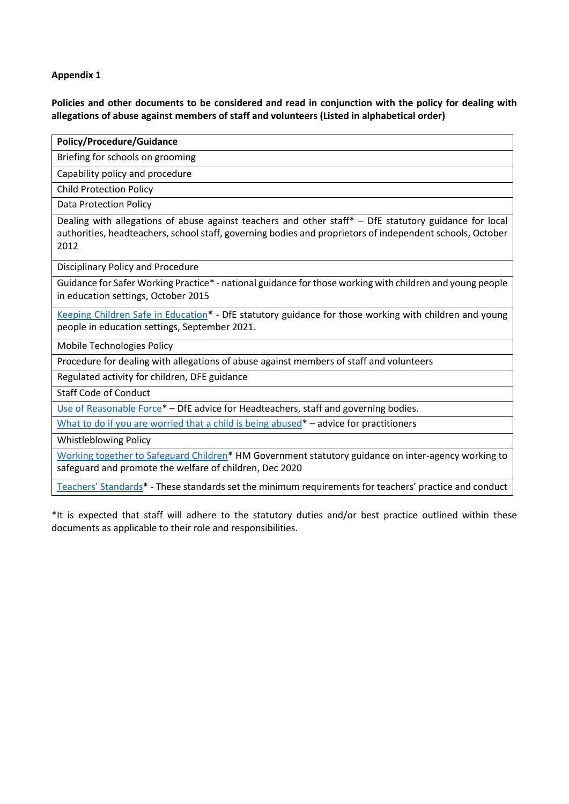#### <span id="page-7-0"></span>**Appendix 1**

**Policies and other documents to be considered and read in conjunction with the policy for dealing with allegations of abuse against members of staff and volunteers (Listed in alphabetical order)**

| <b>Policy/Procedure/Guidance</b>                                                                                                                                                                                            |  |  |  |  |  |
|-----------------------------------------------------------------------------------------------------------------------------------------------------------------------------------------------------------------------------|--|--|--|--|--|
| Briefing for schools on grooming                                                                                                                                                                                            |  |  |  |  |  |
| Capability policy and procedure                                                                                                                                                                                             |  |  |  |  |  |
| <b>Child Protection Policy</b>                                                                                                                                                                                              |  |  |  |  |  |
| <b>Data Protection Policy</b>                                                                                                                                                                                               |  |  |  |  |  |
| Dealing with allegations of abuse against teachers and other staff* - DfE statutory guidance for local<br>authorities, headteachers, school staff, governing bodies and proprietors of independent schools, October<br>2012 |  |  |  |  |  |
| Disciplinary Policy and Procedure                                                                                                                                                                                           |  |  |  |  |  |
| Guidance for Safer Working Practice* - national guidance for those working with children and young people<br>in education settings, October 2015                                                                            |  |  |  |  |  |
| Keeping Children Safe in Education* - DfE statutory guidance for those working with children and young<br>people in education settings, September 2021.                                                                     |  |  |  |  |  |
| <b>Mobile Technologies Policy</b>                                                                                                                                                                                           |  |  |  |  |  |
| Procedure for dealing with allegations of abuse against members of staff and volunteers                                                                                                                                     |  |  |  |  |  |
| Regulated activity for children, DFE guidance                                                                                                                                                                               |  |  |  |  |  |
| <b>Staff Code of Conduct</b>                                                                                                                                                                                                |  |  |  |  |  |
| Use of Reasonable Force* - DfE advice for Headteachers, staff and governing bodies.                                                                                                                                         |  |  |  |  |  |
| What to do if you are worried that a child is being abused $*$ – advice for practitioners                                                                                                                                   |  |  |  |  |  |
| <b>Whistleblowing Policy</b>                                                                                                                                                                                                |  |  |  |  |  |
| Working together to Safeguard Children* HM Government statutory guidance on inter-agency working to<br>safeguard and promote the welfare of children, Dec 2020                                                              |  |  |  |  |  |

[Teachers' Standards](https://www.gov.uk/government/publications/teachers-standards)\* - These standards set the minimum requirements for teachers' practice and conduct

\*It is expected that staff will adhere to the statutory duties and/or best practice outlined within these documents as applicable to their role and responsibilities.